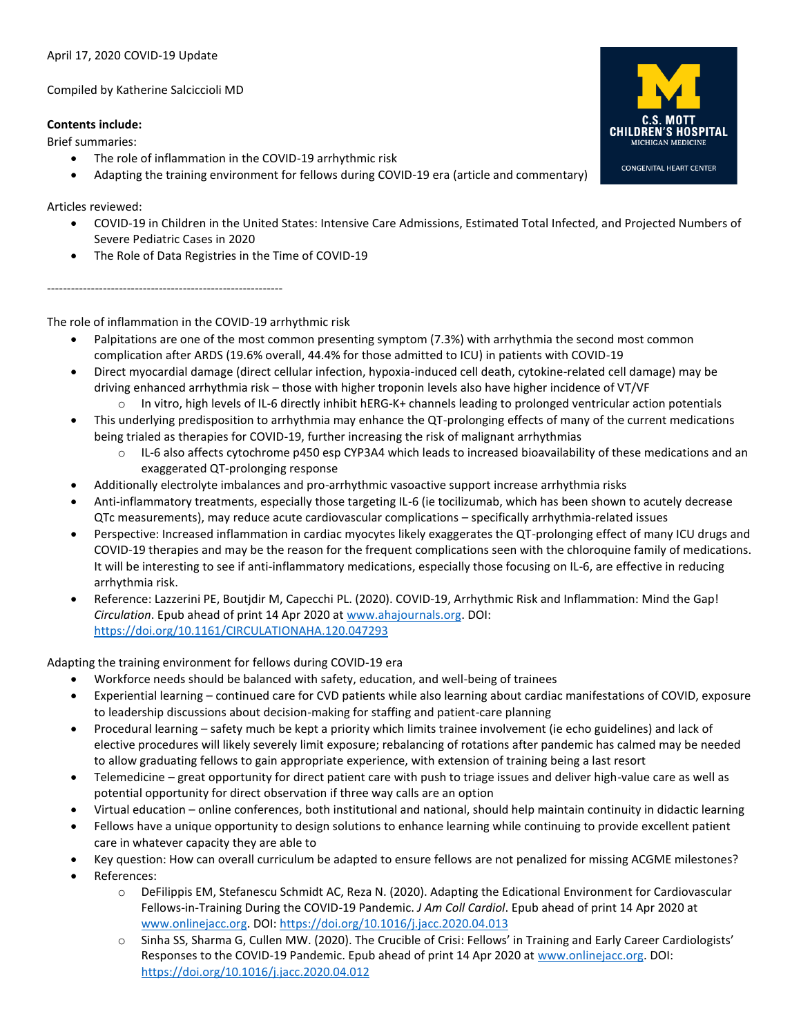## April 17, 2020 COVID-19 Update

Compiled by Katherine Salciccioli MD

# **Contents include:**

Brief summaries:

- The role of inflammation in the COVID-19 arrhythmic risk
- Adapting the training environment for fellows during COVID-19 era (article and commentary)

Articles reviewed:

- COVID-19 in Children in the United States: Intensive Care Admissions, Estimated Total Infected, and Projected Numbers of Severe Pediatric Cases in 2020
- The Role of Data Registries in the Time of COVID-19

The role of inflammation in the COVID-19 arrhythmic risk

-----------------------------------------------------------

- Palpitations are one of the most common presenting symptom (7.3%) with arrhythmia the second most common complication after ARDS (19.6% overall, 44.4% for those admitted to ICU) in patients with COVID-19
- Direct myocardial damage (direct cellular infection, hypoxia-induced cell death, cytokine-related cell damage) may be driving enhanced arrhythmia risk – those with higher troponin levels also have higher incidence of VT/VF
- o In vitro, high levels of IL-6 directly inhibit hERG-K+ channels leading to prolonged ventricular action potentials • This underlying predisposition to arrhythmia may enhance the QT-prolonging effects of many of the current medications being trialed as therapies for COVID-19, further increasing the risk of malignant arrhythmias
	- o IL-6 also affects cytochrome p450 esp CYP3A4 which leads to increased bioavailability of these medications and an exaggerated QT-prolonging response
- Additionally electrolyte imbalances and pro-arrhythmic vasoactive support increase arrhythmia risks
- Anti-inflammatory treatments, especially those targeting IL-6 (ie tocilizumab, which has been shown to acutely decrease QTc measurements), may reduce acute cardiovascular complications – specifically arrhythmia-related issues
- Perspective: Increased inflammation in cardiac myocytes likely exaggerates the QT-prolonging effect of many ICU drugs and COVID-19 therapies and may be the reason for the frequent complications seen with the chloroquine family of medications. It will be interesting to see if anti-inflammatory medications, especially those focusing on IL-6, are effective in reducing arrhythmia risk.
- Reference: Lazzerini PE, Boutjdir M, Capecchi PL. (2020). COVID-19, Arrhythmic Risk and Inflammation: Mind the Gap! *Circulation*. Epub ahead of print 14 Apr 2020 at [www.ahajournals.org.](http://www.ahajournals.org/) DOI: <https://doi.org/10.1161/CIRCULATIONAHA.120.047293>

Adapting the training environment for fellows during COVID-19 era

- Workforce needs should be balanced with safety, education, and well-being of trainees
- Experiential learning continued care for CVD patients while also learning about cardiac manifestations of COVID, exposure to leadership discussions about decision-making for staffing and patient-care planning
- Procedural learning safety much be kept a priority which limits trainee involvement (ie echo guidelines) and lack of elective procedures will likely severely limit exposure; rebalancing of rotations after pandemic has calmed may be needed to allow graduating fellows to gain appropriate experience, with extension of training being a last resort
- Telemedicine great opportunity for direct patient care with push to triage issues and deliver high-value care as well as potential opportunity for direct observation if three way calls are an option
- Virtual education online conferences, both institutional and national, should help maintain continuity in didactic learning
- Fellows have a unique opportunity to design solutions to enhance learning while continuing to provide excellent patient care in whatever capacity they are able to
- Key question: How can overall curriculum be adapted to ensure fellows are not penalized for missing ACGME milestones?
- References:
	- o DeFilippis EM, Stefanescu Schmidt AC, Reza N. (2020). Adapting the Edicational Environment for Cardiovascular Fellows-in-Training During the COVID-19 Pandemic. *J Am Coll Cardiol*. Epub ahead of print 14 Apr 2020 at [www.onlinejacc.org.](http://www.onlinejacc.org/) DOI:<https://doi.org/10.1016/j.jacc.2020.04.013>
	- o Sinha SS, Sharma G, Cullen MW. (2020). The Crucible of Crisi: Fellows' in Training and Early Career Cardiologists' Responses to the COVID-19 Pandemic. Epub ahead of print 14 Apr 2020 at [www.onlinejacc.org.](http://www.onlinejacc.org/) DOI: <https://doi.org/10.1016/j.jacc.2020.04.012>

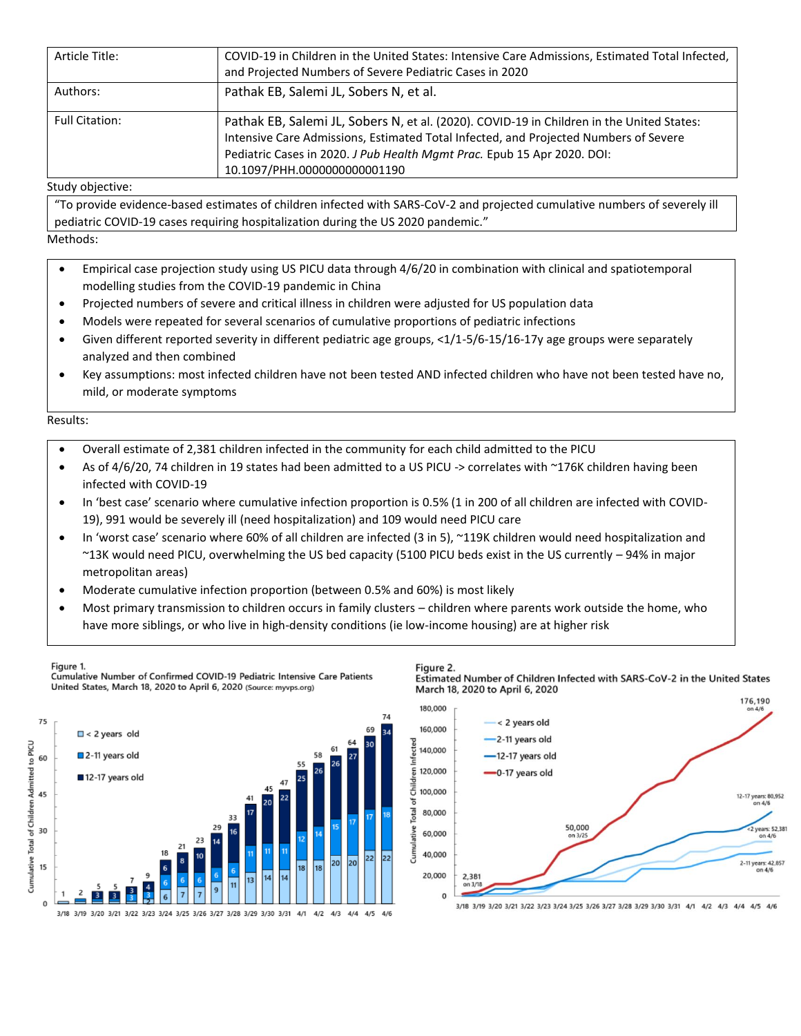| Article Title:        | COVID-19 in Children in the United States: Intensive Care Admissions, Estimated Total Infected,<br>and Projected Numbers of Severe Pediatric Cases in 2020                                                                                                                                   |  |
|-----------------------|----------------------------------------------------------------------------------------------------------------------------------------------------------------------------------------------------------------------------------------------------------------------------------------------|--|
| Authors:              | Pathak EB, Salemi JL, Sobers N, et al.                                                                                                                                                                                                                                                       |  |
| <b>Full Citation:</b> | Pathak EB, Salemi JL, Sobers N, et al. (2020). COVID-19 in Children in the United States:<br>Intensive Care Admissions, Estimated Total Infected, and Projected Numbers of Severe<br>Pediatric Cases in 2020. J Pub Health Mgmt Prac. Epub 15 Apr 2020. DOI:<br>10.1097/PHH.0000000000001190 |  |

Study objective:

"To provide evidence-based estimates of children infected with SARS-CoV-2 and projected cumulative numbers of severely ill pediatric COVID-19 cases requiring hospitalization during the US 2020 pandemic."

Methods:

- Empirical case projection study using US PICU data through 4/6/20 in combination with clinical and spatiotemporal modelling studies from the COVID-19 pandemic in China
- Projected numbers of severe and critical illness in children were adjusted for US population data
- Models were repeated for several scenarios of cumulative proportions of pediatric infections
- Given different reported severity in different pediatric age groups, <1/1-5/6-15/16-17y age groups were separately analyzed and then combined
- Key assumptions: most infected children have not been tested AND infected children who have not been tested have no, mild, or moderate symptoms

#### Results:

- Overall estimate of 2,381 children infected in the community for each child admitted to the PICU
- As of 4/6/20, 74 children in 19 states had been admitted to a US PICU -> correlates with ~176K children having been infected with COVID-19
- In 'best case' scenario where cumulative infection proportion is 0.5% (1 in 200 of all children are infected with COVID-19), 991 would be severely ill (need hospitalization) and 109 would need PICU care
- In 'worst case' scenario where 60% of all children are infected (3 in 5), ~119K children would need hospitalization and ~13K would need PICU, overwhelming the US bed capacity (5100 PICU beds exist in the US currently – 94% in major metropolitan areas)
- Moderate cumulative infection proportion (between 0.5% and 60%) is most likely
- Most primary transmission to children occurs in family clusters children where parents work outside the home, who have more siblings, or who live in high-density conditions (ie low-income housing) are at higher risk



Cumulative Number of Confirmed COVID-19 Pediatric Intensive Care Patients United States, March 18, 2020 to April 6, 2020 (Source: myvps.org)



Figure 2 Estimated Number of Children Infected with SARS-CoV-2 in the United States March 18, 2020 to April 6, 2020



3/18 3/19 3/20 3/21 3/22 3/23 3/24 3/25 3/26 3/27 3/28 3/29 3/30 3/31 4/1 4/2 4/3 4/4 4/5 4/6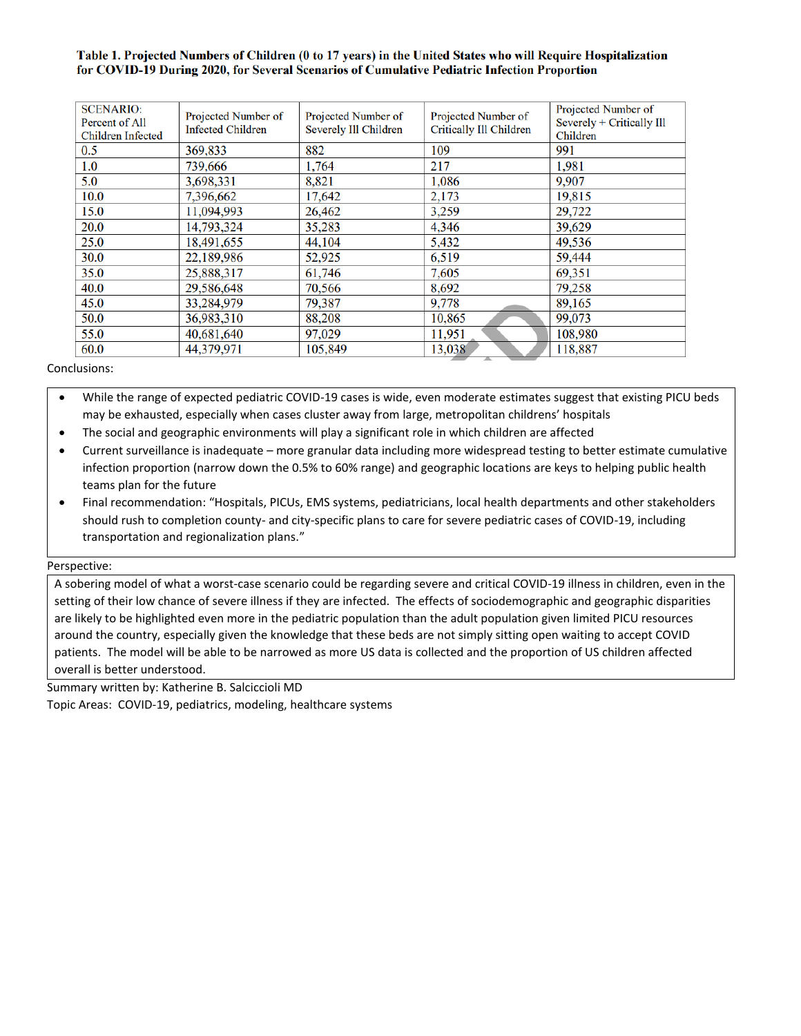## Table 1. Projected Numbers of Children (0 to 17 years) in the United States who will Require Hospitalization for COVID-19 During 2020, for Several Scenarios of Cumulative Pediatric Infection Proportion

| <b>SCENARIO:</b><br>Percent of All<br><b>Children Infected</b> | Projected Number of<br><b>Infected Children</b> | Projected Number of<br>Severely Ill Children | Projected Number of<br><b>Critically Ill Children</b> | Projected Number of<br>Severely + Critically Ill<br>Children |
|----------------------------------------------------------------|-------------------------------------------------|----------------------------------------------|-------------------------------------------------------|--------------------------------------------------------------|
| 0.5                                                            | 369,833                                         | 882                                          | 109                                                   | 991                                                          |
| 1.0                                                            | 739,666                                         | 1,764                                        | 217                                                   | 1,981                                                        |
| 5.0                                                            | 3,698,331                                       | 8,821                                        | 1,086                                                 | 9,907                                                        |
| 10.0                                                           | 7,396,662                                       | 17,642                                       | 2,173                                                 | 19,815                                                       |
| 15.0                                                           | 11,094,993                                      | 26,462                                       | 3,259                                                 | 29,722                                                       |
| 20.0                                                           | 14,793,324                                      | 35,283                                       | 4,346                                                 | 39,629                                                       |
| 25.0                                                           | 18,491,655                                      | 44,104                                       | 5,432                                                 | 49,536                                                       |
| 30.0                                                           | 22,189,986                                      | 52,925                                       | 6,519                                                 | 59,444                                                       |
| 35.0                                                           | 25,888,317                                      | 61,746                                       | 7,605                                                 | 69,351                                                       |
| 40.0                                                           | 29,586,648                                      | 70,566                                       | 8,692                                                 | 79,258                                                       |
| 45.0                                                           | 33,284,979                                      | 79,387                                       | 9,778                                                 | 89,165                                                       |
| 50.0                                                           | 36,983,310                                      | 88,208                                       | 10,865                                                | 99,073                                                       |
| 55.0                                                           | 40,681,640                                      | 97,029                                       | 11,951                                                | 108,980                                                      |
| 60.0                                                           | 44,379,971                                      | 105,849                                      | 13,038                                                | 118,887                                                      |

### Conclusions:

• While the range of expected pediatric COVID-19 cases is wide, even moderate estimates suggest that existing PICU beds may be exhausted, especially when cases cluster away from large, metropolitan childrens' hospitals

- The social and geographic environments will play a significant role in which children are affected
- Current surveillance is inadequate more granular data including more widespread testing to better estimate cumulative infection proportion (narrow down the 0.5% to 60% range) and geographic locations are keys to helping public health teams plan for the future
- Final recommendation: "Hospitals, PICUs, EMS systems, pediatricians, local health departments and other stakeholders should rush to completion county- and city-specific plans to care for severe pediatric cases of COVID-19, including transportation and regionalization plans."

Perspective:

A sobering model of what a worst-case scenario could be regarding severe and critical COVID-19 illness in children, even in the setting of their low chance of severe illness if they are infected. The effects of sociodemographic and geographic disparities are likely to be highlighted even more in the pediatric population than the adult population given limited PICU resources around the country, especially given the knowledge that these beds are not simply sitting open waiting to accept COVID patients. The model will be able to be narrowed as more US data is collected and the proportion of US children affected overall is better understood.

Summary written by: Katherine B. Salciccioli MD

Topic Areas: COVID-19, pediatrics, modeling, healthcare systems